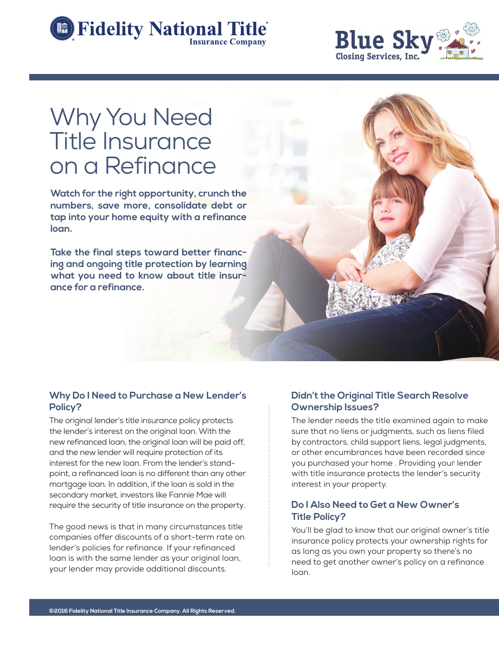



# Why You Need Title Insurance on a Refinance

**Watch for the right opportunity, crunch the numbers, save more, consolidate debt or tap into your home equity with a refinance loan.**

**Take the final steps toward better financing and ongoing title protection by learning what you need to know about title insurance for a refinance.**

## **Why Do I Need to Purchase a New Lender's Policy?**

The original lender's title insurance policy protects the lender's interest on the original loan. With the new refinanced loan, the original loan will be paid off, and the new lender will require protection of its interest for the new loan. From the lender's standpoint, a refinanced loan is no different than any other mortgage loan. In addition, if the loan is sold in the secondary market, investors like Fannie Mae will require the security of title insurance on the property.

The good news is that in many circumstances title companies offer discounts of a short-term rate on lender's policies for refinance. If your refinanced loan is with the same lender as your original loan, your lender may provide additional discounts.

## **Didn't the Original Title Search Resolve Ownership Issues?**

The lender needs the title examined again to make sure that no liens or judgments, such as liens filed by contractors, child support liens, legal judgments, or other encumbrances have been recorded since you purchased your home . Providing your lender with title insurance protects the lender's security interest in your property.

#### **Do I Also Need to Get a New Owner's Title Policy?**

You'll be glad to know that our original owner's title insurance policy protects your ownership rights for as long as you own your property so there's no need to get another owner's policy on a refinance loan.